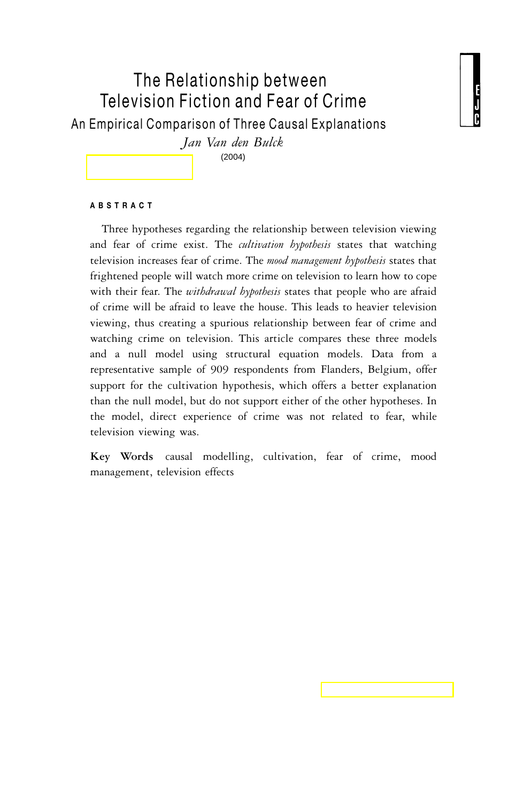# E<br>J

# The Relationship between Television Fiction and Fear of Crime An Empirical Comparison of Three Causal Explanations

*Jan Van den Bulck* (2004)

#### **ABSTRACT**

Three hypotheses regarding the relationship between television viewing and fear of crime exist. The *cultivation hypothesis* states that watching television increases fear of crime. The *mood management hypothesis* states that frightened people will watch more crime on television to learn how to cope with their fear. The *withdrawal hypothesis* states that people who are afraid of crime will be afraid to leave the house. This leads to heavier television viewing, thus creating a spurious relationship between fear of crime and watching crime on television. This article compares these three models and a null model using structural equation models. Data from a representative sample of 909 respondents from Flanders, Belgium, offer support for the cultivation hypothesis, which offers a better explanation than the null model, but do not support either of the other hypotheses. In the model, direct experience of crime was not related to fear, while television viewing was.

**Key Words** causal modelling, cultivation, fear of crime, mood management, television effects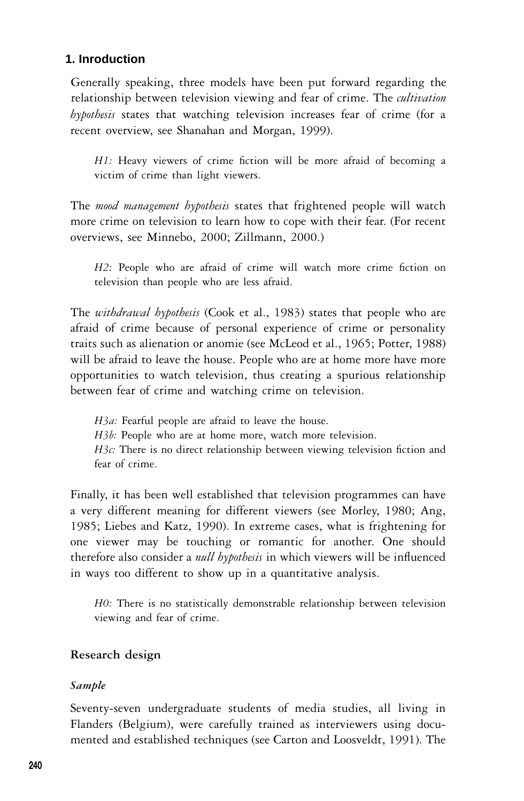# **1. Inroduction**

*hypothesis* states that watching television increases fear of crime (for a recent overview, see Shanahan and Morgan, 1999). Generally speaking, three models have been put forward regarding the relationship between television viewing and fear of crime. The *cultivation*

*H1:* Heavy viewers of crime fiction will be more afraid of becoming a victim of crime than light viewers.

The *mood management hypothesis* states that frightened people will watch more crime on television to learn how to cope with their fear. (For recent overviews, see Minnebo, 2000; Zillmann, 2000.)

*H2:* People who are afraid of crime will watch more crime fiction on television than people who are less afraid.

The *withdrawal hypothesis* (Cook et al., 1983) states that people who are afraid of crime because of personal experience of crime or personality traits such as alienation or anomie (see McLeod et al., 1965; Potter, 1988) will be afraid to leave the house. People who are at home more have more opportunities to watch television, thus creating a spurious relationship between fear of crime and watching crime on television.

*H3a:* Fearful people are afraid to leave the house. *H3b:* People who are at home more, watch more television. H3c: There is no direct relationship between viewing television fiction and fear of crime.

Finally, it has been well established that television programmes can have a very different meaning for different viewers (see Morley, 1980; Ang, 1985; Liebes and Katz, 1990). In extreme cases, what is frightening for one viewer may be touching or romantic for another. One should therefore also consider a *null hypothesis* in which viewers will be influenced in ways too different to show up in a quantitative analysis.

*H0:* There is no statistically demonstrable relationship between television viewing and fear of crime.

# **Research design**

#### *Sample*

Seventy-seven undergraduate students of media studies, all living in Flanders (Belgium), were carefully trained as interviewers using documented and established techniques (see Carton and Loosveldt, 1991). The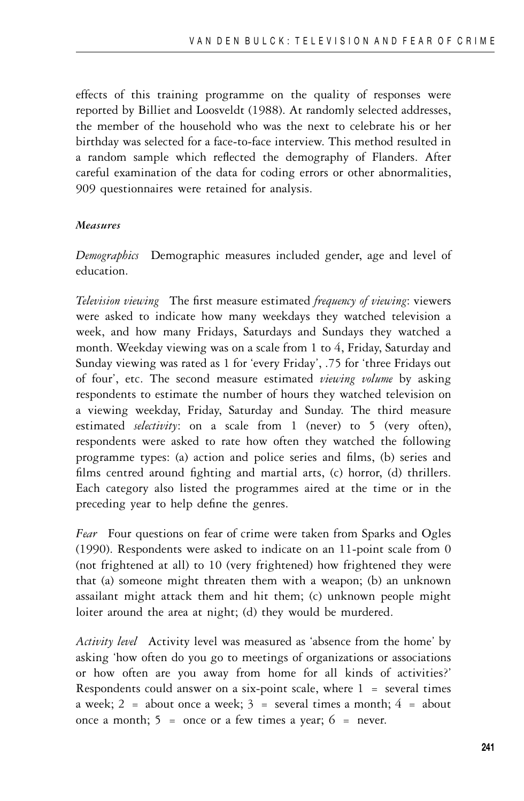effects of this training programme on the quality of responses were reported by Billiet and Loosveldt (1988). At randomly selected addresses, the member of the household who was the next to celebrate his or her birthday was selected for a face-to-face interview. This method resulted in a random sample which reflected the demography of Flanders. After careful examination of the data for coding errors or other abnormalities, 909 questionnaires were retained for analysis.

#### *Measures*

*Demographics* Demographic measures included gender, age and level of education.

*Television viewing* The first measure estimated *frequency of viewing*: viewers were asked to indicate how many weekdays they watched television a week, and how many Fridays, Saturdays and Sundays they watched a month. Weekday viewing was on a scale from 1 to 4, Friday, Saturday and Sunday viewing was rated as 1 for 'every Friday', .75 for 'three Fridays out of four', etc. The second measure estimated *viewing volume* by asking respondents to estimate the number of hours they watched television on a viewing weekday, Friday, Saturday and Sunday. The third measure estimated *selectivity*: on a scale from 1 (never) to 5 (very often), respondents were asked to rate how often they watched the following programme types: (a) action and police series and films, (b) series and films centred around fighting and martial arts, (c) horror, (d) thrillers. Each category also listed the programmes aired at the time or in the preceding year to help define the genres.

*Fear* Four questions on fear of crime were taken from Sparks and Ogles (1990). Respondents were asked to indicate on an 11-point scale from 0 (not frightened at all) to 10 (very frightened) how frightened they were that (a) someone might threaten them with a weapon; (b) an unknown assailant might attack them and hit them; (c) unknown people might loiter around the area at night; (d) they would be murdered.

*Activity level* Activity level was measured as 'absence from the home' by asking 'how often do you go to meetings of organizations or associations or how often are you away from home for all kinds of activities?' Respondents could answer on a six-point scale, where  $1$  = several times a week; 2 = about once a week; 3 = several times a month; 4 = about once a month;  $5 =$  once or a few times a year;  $6 =$  never.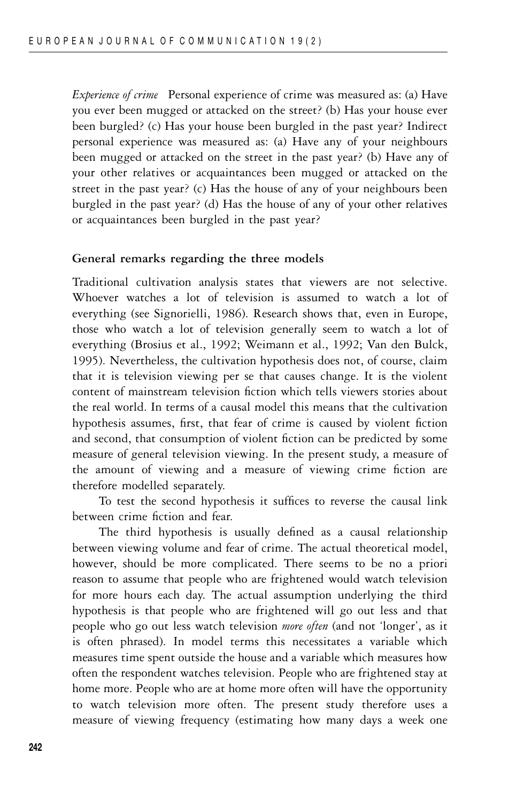*Experience of crime* Personal experience of crime was measured as: (a) Have you ever been mugged or attacked on the street? (b) Has your house ever been burgled? (c) Has your house been burgled in the past year? Indirect personal experience was measured as: (a) Have any of your neighbours been mugged or attacked on the street in the past year? (b) Have any of your other relatives or acquaintances been mugged or attacked on the street in the past year? (c) Has the house of any of your neighbours been burgled in the past year? (d) Has the house of any of your other relatives or acquaintances been burgled in the past year?

#### **General remarks regarding the three models**

Traditional cultivation analysis states that viewers are not selective. Whoever watches a lot of television is assumed to watch a lot of everything (see Signorielli, 1986). Research shows that, even in Europe, those who watch a lot of television generally seem to watch a lot of everything (Brosius et al., 1992; Weimann et al., 1992; Van den Bulck, 1995). Nevertheless, the cultivation hypothesis does not, of course, claim that it is television viewing per se that causes change. It is the violent content of mainstream television fiction which tells viewers stories about the real world. In terms of a causal model this means that the cultivation hypothesis assumes, first, that fear of crime is caused by violent fiction and second, that consumption of violent fiction can be predicted by some measure of general television viewing. In the present study, a measure of the amount of viewing and a measure of viewing crime fiction are therefore modelled separately.

To test the second hypothesis it suffices to reverse the causal link between crime fiction and fear.

The third hypothesis is usually defined as a causal relationship between viewing volume and fear of crime. The actual theoretical model, however, should be more complicated. There seems to be no a priori reason to assume that people who are frightened would watch television for more hours each day. The actual assumption underlying the third hypothesis is that people who are frightened will go out less and that people who go out less watch television *more often* (and not 'longer', as it is often phrased). In model terms this necessitates a variable which measures time spent outside the house and a variable which measures how often the respondent watches television. People who are frightened stay at home more. People who are at home more often will have the opportunity to watch television more often. The present study therefore uses a measure of viewing frequency (estimating how many days a week one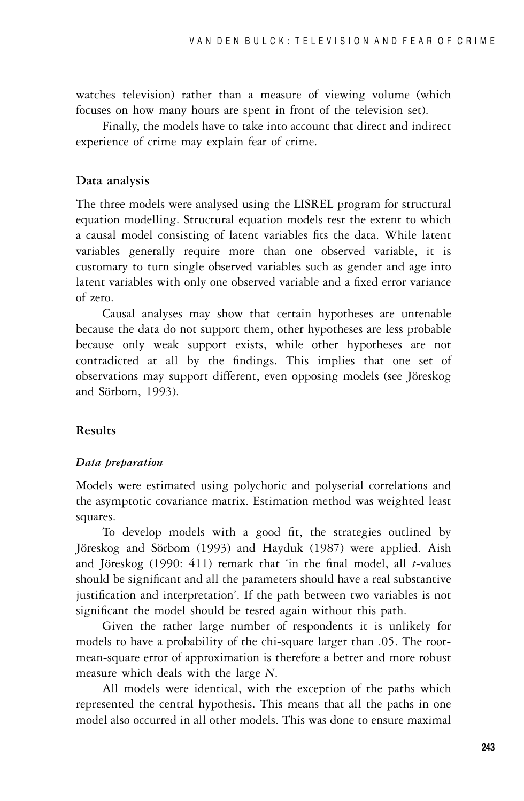watches television) rather than a measure of viewing volume (which focuses on how many hours are spent in front of the television set).

Finally, the models have to take into account that direct and indirect experience of crime may explain fear of crime.

## **Data analysis**

The three models were analysed using the LISREL program for structural equation modelling. Structural equation models test the extent to which a causal model consisting of latent variables fits the data. While latent variables generally require more than one observed variable, it is customary to turn single observed variables such as gender and age into latent variables with only one observed variable and a fixed error variance of zero.

Causal analyses may show that certain hypotheses are untenable because the data do not support them, other hypotheses are less probable because only weak support exists, while other hypotheses are not contradicted at all by the findings. This implies that one set of observations may support different, even opposing models (see Joreskog ¨ and Sörbom, 1993).

#### **Results**

#### *Data preparation*

Models were estimated using polychoric and polyserial correlations and the asymptotic covariance matrix. Estimation method was weighted least squares.

To develop models with a good fit, the strategies outlined by Jöreskog and Sörbom (1993) and Hayduk (1987) were applied. Aish and Jöreskog (1990: 411) remark that 'in the final model, all *t*-values should be significant and all the parameters should have a real substantive justification and interpretation'. If the path between two variables is not significant the model should be tested again without this path.

Given the rather large number of respondents it is unlikely for models to have a probability of the chi-square larger than .05. The rootmean-square error of approximation is therefore a better and more robust measure which deals with the large *N*.

All models were identical, with the exception of the paths which represented the central hypothesis. This means that all the paths in one model also occurred in all other models. This was done to ensure maximal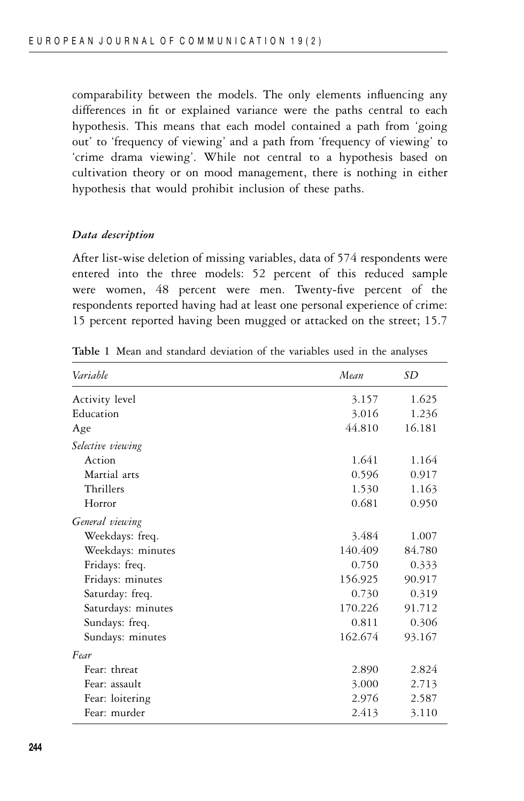comparability between the models. The only elements influencing any differences in fit or explained variance were the paths central to each hypothesis. This means that each model contained a path from 'going out' to 'frequency of viewing' and a path from 'frequency of viewing' to 'crime drama viewing'. While not central to a hypothesis based on cultivation theory or on mood management, there is nothing in either hypothesis that would prohibit inclusion of these paths.

# *Data description*

After list-wise deletion of missing variables, data of 574 respondents were entered into the three models: 52 percent of this reduced sample were women, 48 percent were men. Twenty-five percent of the respondents reported having had at least one personal experience of crime: 15 percent reported having been mugged or attacked on the street; 15.7

| Mean    | SD     |
|---------|--------|
| 3.157   | 1.625  |
| 3.016   | 1.236  |
| 44.810  | 16.181 |
|         |        |
| 1.641   | 1.164  |
| 0.596   | 0.917  |
| 1.530   | 1.163  |
| 0.681   | 0.950  |
|         |        |
| 3.484   | 1.007  |
| 140.409 | 84.780 |
| 0.750   | 0.333  |
| 156.925 | 90.917 |
| 0.730   | 0.319  |
| 170.226 | 91.712 |
| 0.811   | 0.306  |
| 162.674 | 93.167 |
|         |        |
| 2.890   | 2.824  |
| 3.000   | 2.713  |
| 2.976   | 2.587  |
| 2.413   | 3.110  |
|         |        |

**Table 1** Mean and standard deviation of the variables used in the analyses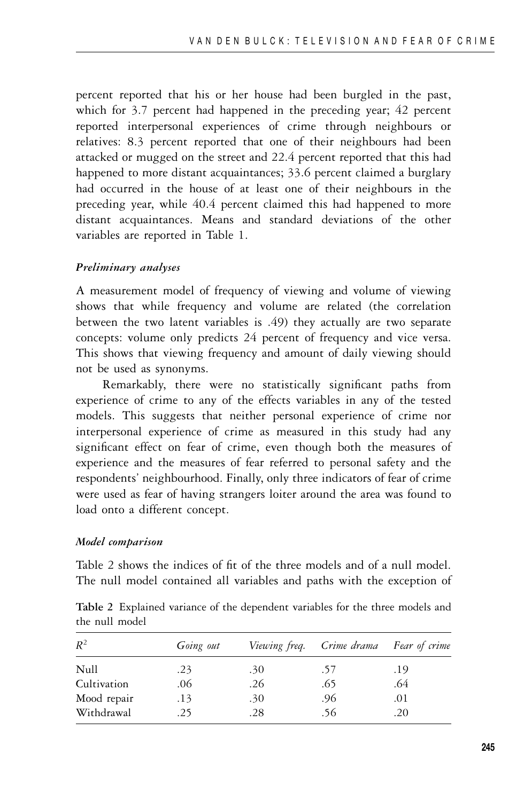percent reported that his or her house had been burgled in the past, which for 3.7 percent had happened in the preceding year; 42 percent reported interpersonal experiences of crime through neighbours or relatives: 8.3 percent reported that one of their neighbours had been attacked or mugged on the street and 22.4 percent reported that this had happened to more distant acquaintances; 33.6 percent claimed a burglary had occurred in the house of at least one of their neighbours in the preceding year, while 40.4 percent claimed this had happened to more distant acquaintances. Means and standard deviations of the other variables are reported in Table 1.

#### *Preliminary analyses*

A measurement model of frequency of viewing and volume of viewing shows that while frequency and volume are related (the correlation between the two latent variables is .49) they actually are two separate concepts: volume only predicts 24 percent of frequency and vice versa. This shows that viewing frequency and amount of daily viewing should not be used as synonyms.

Remarkably, there were no statistically significant paths from experience of crime to any of the effects variables in any of the tested models. This suggests that neither personal experience of crime nor interpersonal experience of crime as measured in this study had any significant effect on fear of crime, even though both the measures of experience and the measures of fear referred to personal safety and the respondents' neighbourhood. Finally, only three indicators of fear of crime were used as fear of having strangers loiter around the area was found to load onto a different concept.

#### *Model comparison*

Table 2 shows the indices of fit of the three models and of a null model. The null model contained all variables and paths with the exception of

| Going out |     |     | Fear of crime             |  |
|-----------|-----|-----|---------------------------|--|
| .23       | .30 | .57 | .19                       |  |
| .06       | .26 | .65 | .64                       |  |
| .13       | .30 | .96 | .01                       |  |
| .25       | .28 | .56 | .20                       |  |
|           |     |     | Viewing freq. Crime drama |  |

**Table 2** Explained variance of the dependent variables for the three models and the null model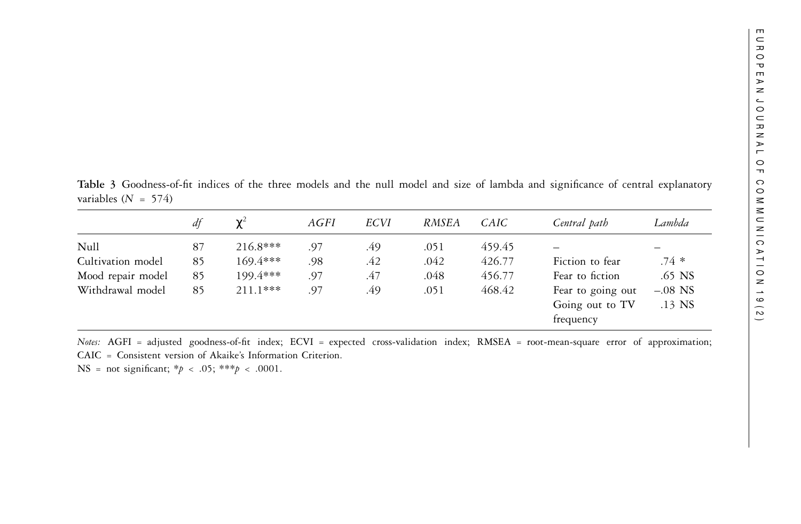**Table 3** Goodness-of-fit indices of the three models and the null model and size of lambda and significance of central explanatory variables  $(N = 574)$ 

|                   | df | $\gamma^2$ | AGFI | ECVI | RMSEA | CAIC   | Central path                 | Lambda    |
|-------------------|----|------------|------|------|-------|--------|------------------------------|-----------|
| Null              | 87 | $216.8***$ | .97  | .49  | .051  | 459.45 |                              |           |
| Cultivation model | 85 | $169.4***$ | .98  | .42  | .042  | 426.77 | Fiction to fear              | $.74*$    |
| Mood repair model | 85 | $199.4***$ | .97  | .47  | .048  | 456.77 | Fear to fiction              | .65 NS    |
| Withdrawal model  | 85 | $211.1***$ | .97  | .49  | .051  | 468.42 | Fear to going out            | $-.08$ NS |
|                   |    |            |      |      |       |        | Going out to TV<br>frequency | $.13$ NS  |

*Notes:* AGFI <sup>=</sup> adjusted goodness-of-fit index; ECVI <sup>=</sup> expected cross-validation index; RMSEA <sup>=</sup> root-mean-square error of approximation; CAIC <sup>=</sup> Consistent version of Akaike's Information Criterion.

NS <sup>=</sup> not significant; \**p* <sup>&</sup>lt; .05; \*\*\**p* <sup>&</sup>lt; .0001.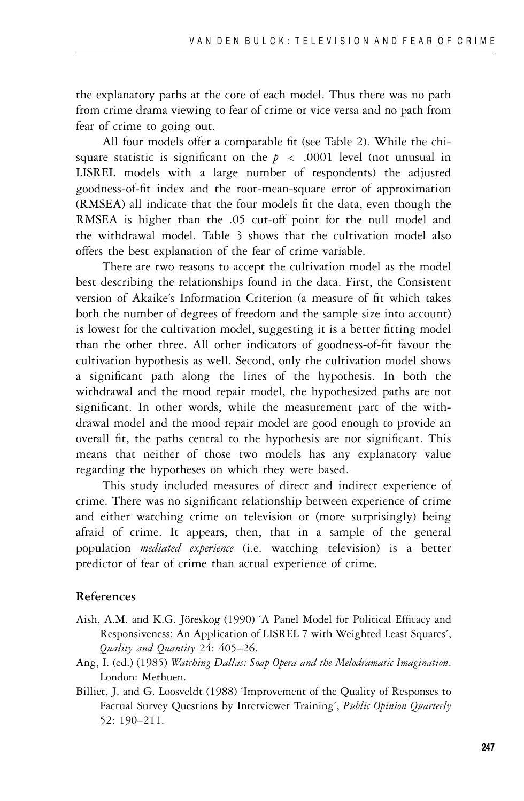the explanatory paths at the core of each model. Thus there was no path from crime drama viewing to fear of crime or vice versa and no path from fear of crime to going out.

All four models offer a comparable fit (see Table 2). While the chisquare statistic is significant on the  $p \sim .0001$  level (not unusual in LISREL models with a large number of respondents) the adjusted goodness-of-fit index and the root-mean-square error of approximation (RMSEA) all indicate that the four models fit the data, even though the RMSEA is higher than the .05 cut-off point for the null model and the withdrawal model. Table 3 shows that the cultivation model also offers the best explanation of the fear of crime variable.

There are two reasons to accept the cultivation model as the model best describing the relationships found in the data. First, the Consistent version of Akaike's Information Criterion (a measure of fit which takes both the number of degrees of freedom and the sample size into account) is lowest for the cultivation model, suggesting it is a better fitting model than the other three. All other indicators of goodness-of-fit favour the cultivation hypothesis as well. Second, only the cultivation model shows a significant path along the lines of the hypothesis. In both the withdrawal and the mood repair model, the hypothesized paths are not significant. In other words, while the measurement part of the withdrawal model and the mood repair model are good enough to provide an overall fit, the paths central to the hypothesis are not significant. This means that neither of those two models has any explanatory value regarding the hypotheses on which they were based.

This study included measures of direct and indirect experience of crime. There was no significant relationship between experience of crime and either watching crime on television or (more surprisingly) being afraid of crime. It appears, then, that in a sample of the general population *mediated experience* (i.e. watching television) is a better predictor of fear of crime than actual experience of crime.

# **References**

- Aish, A.M. and K.G. Jöreskog (1990) 'A Panel Model for Political Efficacy and Responsiveness: An Application of LISREL 7 with Weighted Least Squares', *Quality and Quantity* 24: 405–26.
- Ang, I. (ed.) (1985) *Watching Dallas: Soap Opera and the Melodramatic Imagination*. London: Methuen.
- Billiet, J. and G. Loosveldt (1988) 'Improvement of the Quality of Responses to Factual Survey Questions by Interviewer Training', *Public Opinion Quarterly* 52: 190–211.